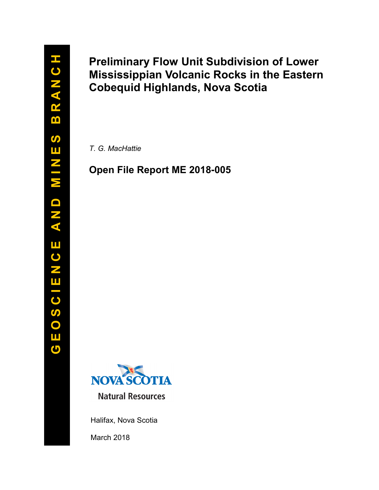# Preliminary Flow Unit Subdivision of Lower Mississippian Volcanic Rocks in the Eastern Cobequid Highlands, Nova Scotia

T. G. MacHattie

## Open File Report ME 2018**-**005



Halifax, Nova Scotia March 2018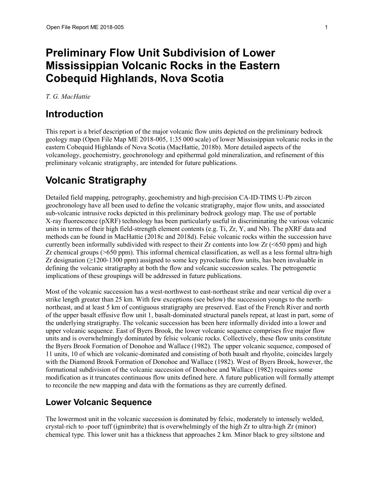# Preliminary Flow Unit Subdivision of Lower Mississippian Volcanic Rocks in the Eastern Cobequid Highlands, Nova Scotia

T. G. MacHattie

## Introduction

This report is a brief description of the major volcanic flow units depicted on the preliminary bedrock geology map (Open File Map ME 2018-005, 1:35 000 scale) of lower Mississippian volcanic rocks in the eastern Cobequid Highlands of Nova Scotia (MacHattie, 2018b). More detailed aspects of the volcanology, geochemistry, geochronology and epithermal gold mineralization, and refinement of this preliminary volcanic stratigraphy, are intended for future publications.

## Volcanic Stratigraphy

Detailed field mapping, petrography, geochemistry and high-precision CA-ID-TIMS U-Pb zircon geochronology have all been used to define the volcanic stratigraphy, major flow units, and associated sub-volcanic intrusive rocks depicted in this preliminary bedrock geology map. The use of portable X-ray fluorescence (pXRF) technology has been particularly useful in discriminating the various volcanic units in terms of their high field-strength element contents (e.g. Ti, Zr, Y, and Nb). The pXRF data and methods can be found in MacHattie (2018c and 2018d). Felsic volcanic rocks within the succession have currently been informally subdivided with respect to their  $Zr$  contents into low  $Zr$  ( $\leq 650$  ppm) and high Zr chemical groups (>650 ppm). This informal chemical classification, as well as a less formal ultra-high Zr designation  $(\geq 1200-1300 \text{ ppm})$  assigned to some key pyroclastic flow units, has been invaluable in defining the volcanic stratigraphy at both the flow and volcanic succession scales. The petrogenetic implications of these groupings will be addressed in future publications.

Most of the volcanic succession has a west-northwest to east-northeast strike and near vertical dip over a strike length greater than 25 km. With few exceptions (see below) the succession youngs to the northnortheast, and at least 5 km of contiguous stratigraphy are preserved. East of the French River and north of the upper basalt effusive flow unit 1, basalt-dominated structural panels repeat, at least in part, some of the underlying stratigraphy. The volcanic succession has been here informally divided into a lower and upper volcanic sequence. East of Byers Brook, the lower volcanic sequence comprises five major flow units and is overwhelmingly dominated by felsic volcanic rocks. Collectively, these flow units constitute the Byers Brook Formation of Donohoe and Wallace (1982). The upper volcanic sequence, composed of 11 units, 10 of which are volcanic-dominated and consisting of both basalt and rhyolite, coincides largely with the Diamond Brook Formation of Donohoe and Wallace (1982). West of Byers Brook, however, the formational subdivision of the volcanic succession of Donohoe and Wallace (1982) requires some modification as it truncates continuous flow units defined here. A future publication will formally attempt to reconcile the new mapping and data with the formations as they are currently defined.

### Lower Volcanic Sequence

The lowermost unit in the volcanic succession is dominated by felsic, moderately to intensely welded, crystal-rich to -poor tuff (ignimbrite) that is overwhelmingly of the high Zr to ultra-high Zr (minor) chemical type. This lower unit has a thickness that approaches 2 km. Minor black to grey siltstone and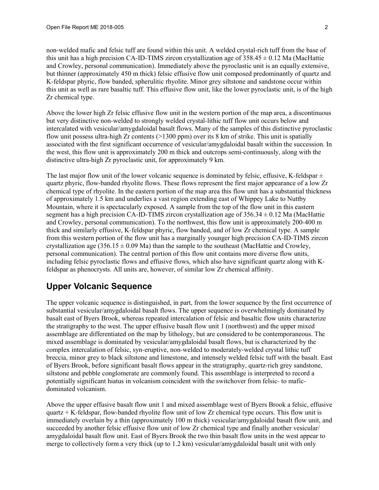non-welded mafic and felsic tuff are found within this unit. A welded crystal-rich tuff from the base of this unit has a high precision CA-ID-TIMS zircon crystallization age of  $358.45 \pm 0.12$  Ma (MacHattie and Crowley, personal communication). Immediately above the pyroclastic unit is an equally extensive, but thinner (approximately 450 m thick) felsic effusive flow unit composed predominantly of quartz and K-feldspar phyric, flow banded, spherulitic rhyolite. Minor grey siltstone and sandstone occur within this unit as well as rare basaltic tuff. This effusive flow unit, like the lower pyroclastic unit, is of the high Zr chemical type.

Above the lower high Zr felsic effusive flow unit in the western portion of the map area, a discontinuous but very distinctive non-welded to strongly welded crystal-lithic tuff flow unit occurs below and intercalated with vesicular/amygdaloidal basalt flows. Many of the samples of this distinctive pyroclastic flow unit possess ultra-high Zr contents (>1300 ppm) over its 8 km of strike. This unit is spatially associated with the first significant occurrence of vesicular/amygdaloidal basalt within the succession. In the west, this flow unit is approximately 200 m thick and outcrops semi-continuously, along with the distinctive ultra-high Zr pyroclastic unit, for approximately 9 km.

The last major flow unit of the lower volcanic sequence is dominated by felsic, effusive, K-feldspar  $\pm$ quartz phyric, flow-banded rhyolite flows. These flows represent the first major appearance of a low Zr chemical type of rhyolite. In the eastern portion of the map area this flow unit has a substantial thickness of approximately 1.5 km and underlies a vast region extending east of Whippey Lake to Nuttby Mountain, where it is spectacularly exposed. A sample from the top of the flow unit in this eastern segment has a high precision CA-ID-TIMS zircon crystallization age of  $356.34 \pm 0.12$  Ma (MacHattie and Crowley, personal communication). To the northwest, this flow unit is approximately 200-400 m thick and similarly effusive, K-feldspar phyric, flow banded, and of low Zr chemical type. A sample from this western portion of the flow unit has a marginally younger high precision CA-ID-TIMS zircon crystallization age  $(356.15 \pm 0.09 \text{ Ma})$  than the sample to the southeast (MacHattie and Crowley, personal communication). The central portion of this flow unit contains more diverse flow units, including felsic pyroclastic flows and effusive flows, which also have significant quartz along with Kfeldspar as phenocrysts. All units are, however, of similar low Zr chemical affinity.

### Upper Volcanic Sequence

The upper volcanic sequence is distinguished, in part, from the lower sequence by the first occurrence of substantial vesicular/amygdaloidal basalt flows. The upper sequence is overwhelmingly dominated by basalt east of Byers Brook, whereas repeated intercalation of felsic and basaltic flow units characterize the stratigraphy to the west. The upper effusive basalt flow unit 1 (northwest) and the upper mixed assemblage are differentiated on the map by lithology, but are considered to be contemporaneous. The mixed assemblage is dominated by vesicular/amygdaloidal basalt flows, but is characterized by the complex intercalation of felsic, syn-eruptive, non-welded to moderately-welded crystal lithic tuff breccia, minor grey to black siltstone and limestone, and intensely welded felsic tuff with the basalt. East of Byers Brook, before significant basalt flows appear in the stratigraphy, quartz-rich grey sandstone, siltstone and pebble conglomerate are commonly found. This assemblage is interpreted to record a potentially significant hiatus in volcanism coincident with the switchover from felsic- to maficdominated volcanism.

Above the upper effusive basalt flow unit 1 and mixed assemblage west of Byers Brook a felsic, effusive quartz + K-feldspar, flow-banded rhyolite flow unit of low Zr chemical type occurs. This flow unit is immediately overlain by a thin (approximately 100 m thick) vesicular/amygdaloidal basalt flow unit, and succeeded by another felsic effusive flow unit of low Zr chemical type and finally another vesicular/ amygdaloidal basalt flow unit. East of Byers Brook the two thin basalt flow units in the west appear to merge to collectively form a very thick (up to 1.2 km) vesicular/amygdaloidal basalt unit with only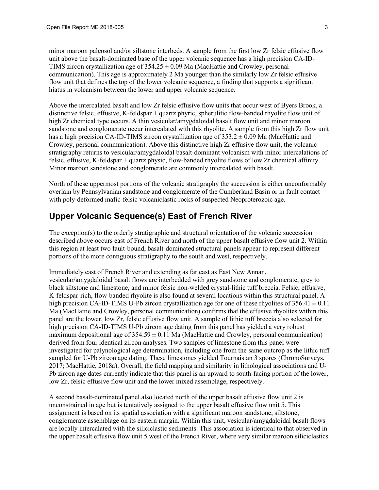minor maroon paleosol and/or siltstone interbeds. A sample from the first low Zr felsic effusive flow unit above the basalt-dominated base of the upper volcanic sequence has a high precision CA-ID-TIMS zircon crystallization age of  $354.25 \pm 0.09$  Ma (MacHattie and Crowley, personal communication). This age is approximately 2 Ma younger than the similarly low Zr felsic effusive flow unit that defines the top of the lower volcanic sequence, a finding that supports a significant hiatus in volcanism between the lower and upper volcanic sequence.

Above the intercalated basalt and low Zr felsic effusive flow units that occur west of Byers Brook, a distinctive felsic, effusive, K-feldspar + quartz phyric, spherulitic flow-banded rhyolite flow unit of high Zr chemical type occurs. A thin vesicular/amygdaloidal basalt flow unit and minor maroon sandstone and conglomerate occur intercalated with this rhyolite. A sample from this high Zr flow unit has a high precision CA-ID-TIMS zircon crystallization age of  $353.2 \pm 0.09$  Ma (MacHattie and Crowley, personal communication). Above this distinctive high Zr effusive flow unit, the volcanic stratigraphy returns to vesicular/amygdaloidal basalt-dominant volcanism with minor intercalations of felsic, effusive, K-feldspar + quartz physic, flow-banded rhyolite flows of low Zr chemical affinity. Minor maroon sandstone and conglomerate are commonly intercalated with basalt.

North of these uppermost portions of the volcanic stratigraphy the succession is either unconformably overlain by Pennsylvanian sandstone and conglomerate of the Cumberland Basin or in fault contact with poly-deformed mafic-felsic volcaniclastic rocks of suspected Neoproterozoic age.

#### Upper Volcanic Sequence(s) East of French River

The exception(s) to the orderly stratigraphic and structural orientation of the volcanic succession described above occurs east of French River and north of the upper basalt effusive flow unit 2. Within this region at least two fault-bound, basalt-dominated structural panels appear to represent different portions of the more contiguous stratigraphy to the south and west, respectively.

Immediately east of French River and extending as far east as East New Annan, vesicular/amygdaloidal basalt flows are interbedded with grey sandstone and conglomerate, grey to black siltstone and limestone, and minor felsic non-welded crystal-lithic tuff breccia. Felsic, effusive, K-feldspar-rich, flow-banded rhyolite is also found at several locations within this structural panel. A high precision CA-ID-TIMS U-Pb zircon crystallization age for one of these rhyolites of  $356.41 \pm 0.11$ Ma (MacHattie and Crowley, personal communication) confirms that the effusive rhyolites within this panel are the lower, low Zr, felsic effusive flow unit. A sample of lithic tuff breccia also selected for high precision CA-ID-TIMS U-Pb zircon age dating from this panel has yielded a very robust maximum depositional age of  $354.59 \pm 0.11$  Ma (MacHattie and Crowley, personal communication) derived from four identical zircon analyses. Two samples of limestone from this panel were investigated for palynological age determination, including one from the same outcrop as the lithic tuff sampled for U-Pb zircon age dating. These limestones yielded Tournaisian 3 spores (ChronoSurveys, 2017; MacHattie, 2018a). Overall, the field mapping and similarity in lithological associations and U-Pb zircon age dates currently indicate that this panel is an upward to south-facing portion of the lower, low Zr, felsic effusive flow unit and the lower mixed assemblage, respectively.

A second basalt-dominated panel also located north of the upper basalt effusive flow unit 2 is unconstrained in age but is tentatively assigned to the upper basalt effusive flow unit 5. This assignment is based on its spatial association with a significant maroon sandstone, siltstone, conglomerate assemblage on its eastern margin. Within this unit, vesicular/amygdaloidal basalt flows are locally intercalated with the siliciclastic sediments. This association is identical to that observed in the upper basalt effusive flow unit 5 west of the French River, where very similar maroon siliciclastics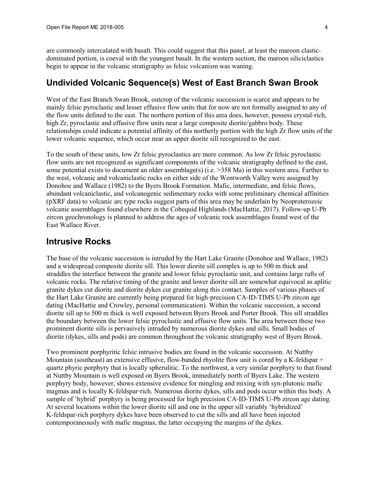are commonly intercalated with basalt. This could suggest that this panel, at least the maroon clasticdominated portion, is coeval with the youngest basalt. In the western section, the maroon siliciclastics begin to appear in the volcanic stratigraphy as felsic volcanism was waning.

#### Undivided Volcanic Sequence(s) West of East Branch Swan Brook

West of the East Branch Swan Brook, outcrop of the volcanic succession is scarce and appears to be mainly felsic pyroclastic and lesser effusive flow units that for now are not formally assigned to any of the flow units defined to the east. The northern portion of this area does, however, possess crystal-rich, high Zr, pyroclastic and effusive flow units near a large composite diorite/gabbro body. These relationships could indicate a potential affinity of this northerly portion with the high Zr flow units of the lower volcanic sequence, which occur near an upper diorite sill recognized to the east.

To the south of these units, low Zr felsic pyroclastics are more common. As low Zr felsic pyroclastic flow units are not recognized as significant components of the volcanic stratigraphy defined to the east, some potential exists to document an older assemblage(s) (i.e. >358 Ma) in this western area. Farther to the west, volcanic and volcaniclastic rocks on either side of the Wentworth Valley were assigned by Donohoe and Wallace (1982) to the Byers Brook Formation. Mafic, intermediate, and felsic flows, abundant volcaniclastic, and volcanogenic sedimentary rocks with some preliminary chemical affinities (pXRF data) to volcanic arc type rocks suggest parts of this area may be underlain by Neoproterozoic volcanic assemblages found elsewhere in the Cobequid Highlands (MacHattie, 2017). Follow-up U-Pb zircon geochronology is planned to address the ages of volcanic rock assemblages found west of the East Wallace River.

#### Intrusive Rocks

The base of the volcanic succession is intruded by the Hart Lake Granite (Donohoe and Wallace, 1982) and a widespread composite diorite sill. This lower diorite sill complex is up to 500 m thick and straddles the interface between the granite and lower felsic pyroclastic unit, and contains large rafts of volcanic rocks. The relative timing of the granite and lower diorite sill are somewhat equivocal as aplitic granite dykes cut diorite and diorite dykes cut granite along this contact. Samples of various phases of the Hart Lake Granite are currently being prepared for high-precision CA-ID-TIMS U-Pb zircon age dating (MacHattie and Crowley, personal communication). Within the volcanic succession, a second diorite sill up to 500 m thick is well exposed between Byers Brook and Porter Brook. This sill straddles the boundary between the lower felsic pyroclastic and effusive flow units. The area between these two prominent diorite sills is pervasively intruded by numerous diorite dykes and sills. Small bodies of diorite (dykes, sills and pods) are common throughout the volcanic stratigraphy west of Byers Brook.

Two prominent porphyritic felsic intrusive bodies are found in the volcanic succession. At Nuttby Mountain (southeast) an extensive effusive, flow-banded rhyolite flow unit is cored by a K-feldspar + quartz phyric porphyry that is locally spherulitic. To the northwest, a very similar porphyry to that found at Nuttby Mountain is well exposed on Byers Brook, immediately north of Byers Lake. The western porphyry body, however, shows extensive evidence for mingling and mixing with syn-plutonic mafic magmas and is locally K-feldspar-rich. Numerous diorite dykes, sills and pods occur within this body. A sample of 'hybrid' porphyry is being processed for high precision CA-ID-TIMS U-Pb zircon age dating. At several locations within the lower diorite sill and one in the upper sill variably 'hybridized' K-feldspar-rich porphyry dykes have been observed to cut the sills and all have been injected contemporaneously with mafic magmas, the latter occupying the margins of the dykes.